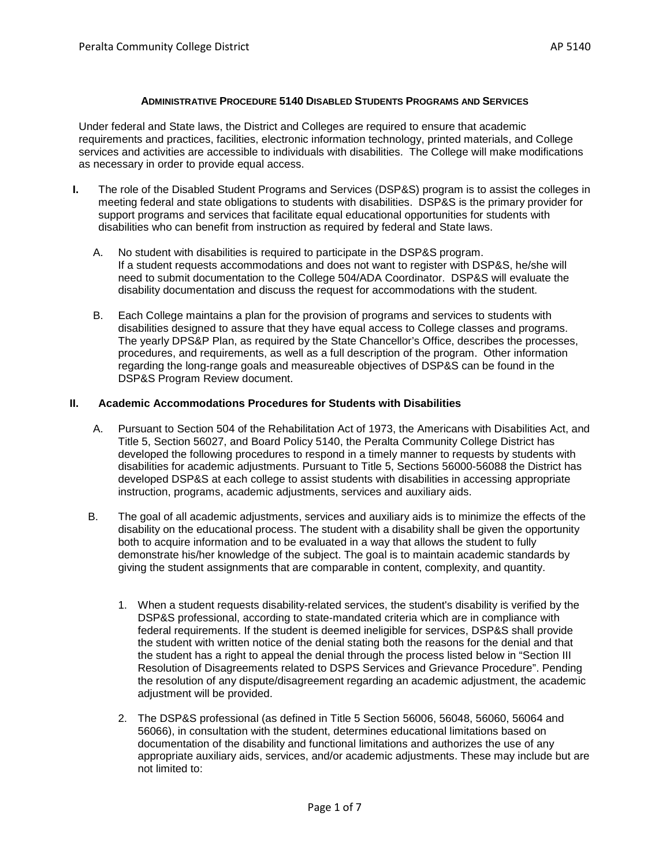#### **ADMINISTRATIVE PROCEDURE 5140 DISABLED STUDENTS PROGRAMS AND SERVICES**

Under federal and State laws, the District and Colleges are required to ensure that academic requirements and practices, facilities, electronic information technology, printed materials, and College services and activities are accessible to individuals with disabilities. The College will make modifications as necessary in order to provide equal access.

- **I.** The role of the Disabled Student Programs and Services (DSP&S) program is to assist the colleges in meeting federal and state obligations to students with disabilities. DSP&S is the primary provider for support programs and services that facilitate equal educational opportunities for students with disabilities who can benefit from instruction as required by federal and State laws.
	- A. No student with disabilities is required to participate in the DSP&S program. If a student requests accommodations and does not want to register with DSP&S, he/she will need to submit documentation to the College 504/ADA Coordinator. DSP&S will evaluate the disability documentation and discuss the request for accommodations with the student.
	- B. Each College maintains a plan for the provision of programs and services to students with disabilities designed to assure that they have equal access to College classes and programs. The yearly DPS&P Plan, as required by the State Chancellor's Office, describes the processes, procedures, and requirements, as well as a full description of the program. Other information regarding the long-range goals and measureable objectives of DSP&S can be found in the DSP&S Program Review document.

## **II. Academic Accommodations Procedures for Students with Disabilities**

- A. Pursuant to Section 504 of the Rehabilitation Act of 1973, the Americans with Disabilities Act, and Title 5, Section 56027, and Board Policy 5140, the Peralta Community College District has developed the following procedures to respond in a timely manner to requests by students with disabilities for academic adjustments. Pursuant to Title 5, Sections 56000-56088 the District has developed DSP&S at each college to assist students with disabilities in accessing appropriate instruction, programs, academic adjustments, services and auxiliary aids.
- B. The goal of all academic adjustments, services and auxiliary aids is to minimize the effects of the disability on the educational process. The student with a disability shall be given the opportunity both to acquire information and to be evaluated in a way that allows the student to fully demonstrate his/her knowledge of the subject. The goal is to maintain academic standards by giving the student assignments that are comparable in content, complexity, and quantity.
	- 1. When a student requests disability-related services, the student's disability is verified by the DSP&S professional, according to state-mandated criteria which are in compliance with federal requirements. If the student is deemed ineligible for services, DSP&S shall provide the student with written notice of the denial stating both the reasons for the denial and that the student has a right to appeal the denial through the process listed below in "Section III Resolution of Disagreements related to DSPS Services and Grievance Procedure". Pending the resolution of any dispute/disagreement regarding an academic adjustment, the academic adjustment will be provided.
	- 2. The DSP&S professional (as defined in Title 5 Section 56006, 56048, 56060, 56064 and 56066), in consultation with the student, determines educational limitations based on documentation of the disability and functional limitations and authorizes the use of any appropriate auxiliary aids, services, and/or academic adjustments. These may include but are not limited to: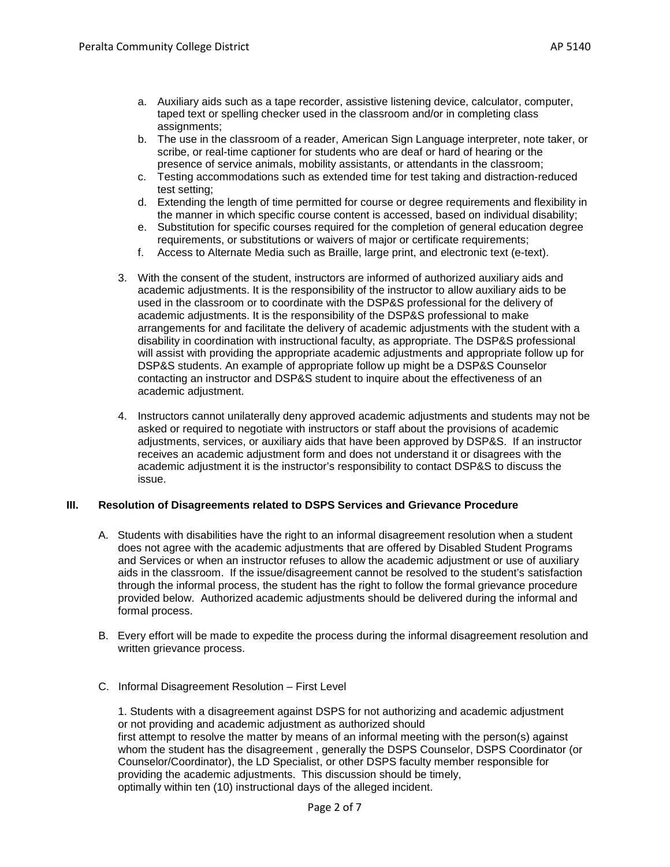- a. Auxiliary aids such as a tape recorder, assistive listening device, calculator, computer, taped text or spelling checker used in the classroom and/or in completing class assignments;
- b. The use in the classroom of a reader, American Sign Language interpreter, note taker, or scribe, or real-time captioner for students who are deaf or hard of hearing or the presence of service animals, mobility assistants, or attendants in the classroom;
- c. Testing accommodations such as extended time for test taking and distraction-reduced test setting;
- d. Extending the length of time permitted for course or degree requirements and flexibility in the manner in which specific course content is accessed, based on individual disability;
- e. Substitution for specific courses required for the completion of general education degree requirements, or substitutions or waivers of major or certificate requirements;
- f. Access to Alternate Media such as Braille, large print, and electronic text (e-text).
- 3. With the consent of the student, instructors are informed of authorized auxiliary aids and academic adjustments. It is the responsibility of the instructor to allow auxiliary aids to be used in the classroom or to coordinate with the DSP&S professional for the delivery of academic adjustments. It is the responsibility of the DSP&S professional to make arrangements for and facilitate the delivery of academic adjustments with the student with a disability in coordination with instructional faculty, as appropriate. The DSP&S professional will assist with providing the appropriate academic adjustments and appropriate follow up for DSP&S students. An example of appropriate follow up might be a DSP&S Counselor contacting an instructor and DSP&S student to inquire about the effectiveness of an academic adjustment.
- 4. Instructors cannot unilaterally deny approved academic adjustments and students may not be asked or required to negotiate with instructors or staff about the provisions of academic adjustments, services, or auxiliary aids that have been approved by DSP&S. If an instructor receives an academic adjustment form and does not understand it or disagrees with the academic adjustment it is the instructor's responsibility to contact DSP&S to discuss the issue.

# **III. Resolution of Disagreements related to DSPS Services and Grievance Procedure**

- A. Students with disabilities have the right to an informal disagreement resolution when a student does not agree with the academic adjustments that are offered by Disabled Student Programs and Services or when an instructor refuses to allow the academic adjustment or use of auxiliary aids in the classroom. If the issue/disagreement cannot be resolved to the student's satisfaction through the informal process, the student has the right to follow the formal grievance procedure provided below. Authorized academic adjustments should be delivered during the informal and formal process.
- B. Every effort will be made to expedite the process during the informal disagreement resolution and written grievance process.
- C. Informal Disagreement Resolution First Level

1. Students with a disagreement against DSPS for not authorizing and academic adjustment or not providing and academic adjustment as authorized should first attempt to resolve the matter by means of an informal meeting with the person(s) against whom the student has the disagreement , generally the DSPS Counselor, DSPS Coordinator (or Counselor/Coordinator), the LD Specialist, or other DSPS faculty member responsible for providing the academic adjustments. This discussion should be timely, optimally within ten (10) instructional days of the alleged incident.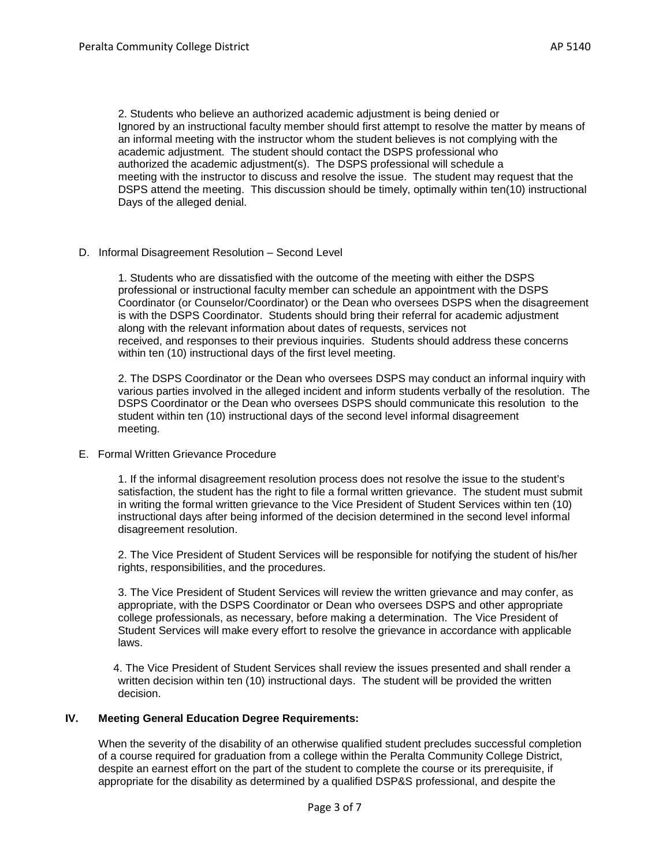2. Students who believe an authorized academic adjustment is being denied or Ignored by an instructional faculty member should first attempt to resolve the matter by means of an informal meeting with the instructor whom the student believes is not complying with the academic adjustment. The student should contact the DSPS professional who authorized the academic adjustment(s). The DSPS professional will schedule a meeting with the instructor to discuss and resolve the issue. The student may request that the DSPS attend the meeting. This discussion should be timely, optimally within ten(10) instructional Days of the alleged denial.

D. Informal Disagreement Resolution – Second Level

1. Students who are dissatisfied with the outcome of the meeting with either the DSPS professional or instructional faculty member can schedule an appointment with the DSPS Coordinator (or Counselor/Coordinator) or the Dean who oversees DSPS when the disagreement is with the DSPS Coordinator. Students should bring their referral for academic adjustment along with the relevant information about dates of requests, services not received, and responses to their previous inquiries. Students should address these concerns within ten (10) instructional days of the first level meeting.

2. The DSPS Coordinator or the Dean who oversees DSPS may conduct an informal inquiry with various parties involved in the alleged incident and inform students verbally of the resolution. The DSPS Coordinator or the Dean who oversees DSPS should communicate this resolution to the student within ten (10) instructional days of the second level informal disagreement meeting.

E. Formal Written Grievance Procedure

1. If the informal disagreement resolution process does not resolve the issue to the student's satisfaction, the student has the right to file a formal written grievance. The student must submit in writing the formal written grievance to the Vice President of Student Services within ten (10) instructional days after being informed of the decision determined in the second level informal disagreement resolution.

2. The Vice President of Student Services will be responsible for notifying the student of his/her rights, responsibilities, and the procedures.

3. The Vice President of Student Services will review the written grievance and may confer, as appropriate, with the DSPS Coordinator or Dean who oversees DSPS and other appropriate college professionals, as necessary, before making a determination. The Vice President of Student Services will make every effort to resolve the grievance in accordance with applicable laws.

 4. The Vice President of Student Services shall review the issues presented and shall render a written decision within ten (10) instructional days. The student will be provided the written decision.

### **IV. Meeting General Education Degree Requirements:**

When the severity of the disability of an otherwise qualified student precludes successful completion of a course required for graduation from a college within the Peralta Community College District, despite an earnest effort on the part of the student to complete the course or its prerequisite, if appropriate for the disability as determined by a qualified DSP&S professional, and despite the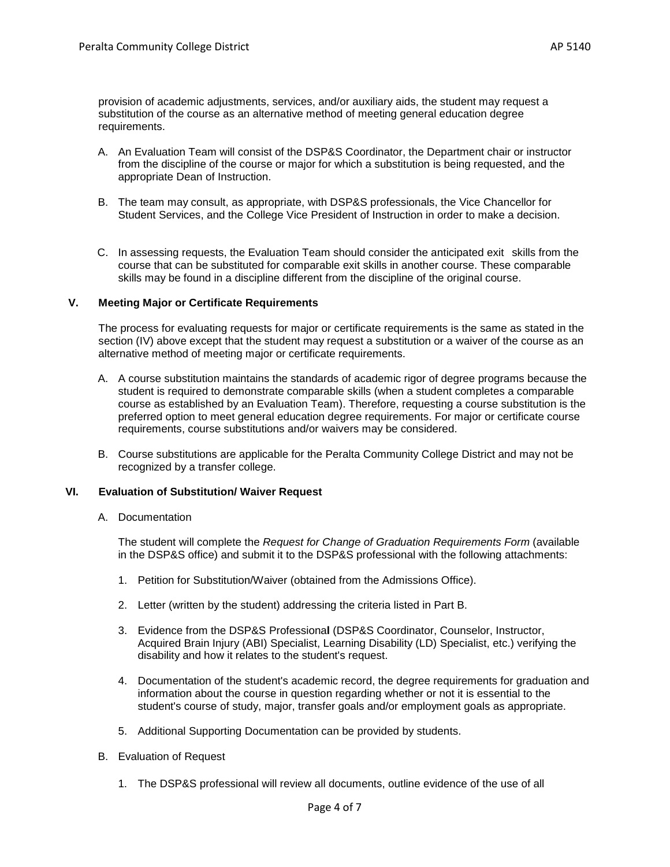provision of academic adjustments, services, and/or auxiliary aids, the student may request a substitution of the course as an alternative method of meeting general education degree requirements.

- A. An Evaluation Team will consist of the DSP&S Coordinator, the Department chair or instructor from the discipline of the course or major for which a substitution is being requested, and the appropriate Dean of Instruction.
- B. The team may consult, as appropriate, with DSP&S professionals, the Vice Chancellor for Student Services, and the College Vice President of Instruction in order to make a decision.
- C. In assessing requests, the Evaluation Team should consider the anticipated exit skills from the course that can be substituted for comparable exit skills in another course. These comparable skills may be found in a discipline different from the discipline of the original course.

### **V. Meeting Major or Certificate Requirements**

The process for evaluating requests for major or certificate requirements is the same as stated in the section (IV) above except that the student may request a substitution or a waiver of the course as an alternative method of meeting major or certificate requirements.

- A. A course substitution maintains the standards of academic rigor of degree programs because the student is required to demonstrate comparable skills (when a student completes a comparable course as established by an Evaluation Team). Therefore, requesting a course substitution is the preferred option to meet general education degree requirements. For major or certificate course requirements, course substitutions and/or waivers may be considered.
- B. Course substitutions are applicable for the Peralta Community College District and may not be recognized by a transfer college.

### **VI. Evaluation of Substitution/ Waiver Request**

A. Documentation

The student will complete the *Request for Change of Graduation Requirements Form* (available in the DSP&S office) and submit it to the DSP&S professional with the following attachments:

- 1. Petition for Substitution/Waiver (obtained from the Admissions Office).
- 2. Letter (written by the student) addressing the criteria listed in Part B.
- 3. Evidence from the DSP&S Professiona**l** (DSP&S Coordinator, Counselor, Instructor, Acquired Brain Injury (ABI) Specialist, Learning Disability (LD) Specialist, etc.) verifying the disability and how it relates to the student's request.
- 4. Documentation of the student's academic record, the degree requirements for graduation and information about the course in question regarding whether or not it is essential to the student's course of study, major, transfer goals and/or employment goals as appropriate.
- 5. Additional Supporting Documentation can be provided by students.
- B. Evaluation of Request
	- 1. The DSP&S professional will review all documents, outline evidence of the use of all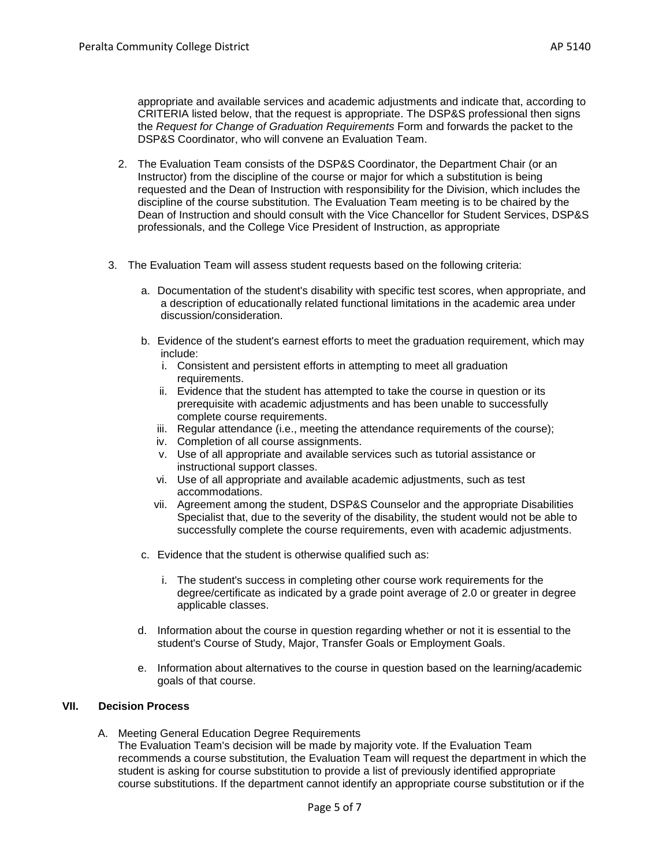appropriate and available services and academic adjustments and indicate that, according to CRITERIA listed below, that the request is appropriate. The DSP&S professional then signs the *Request for Change of Graduation Requirements* Form and forwards the packet to the DSP&S Coordinator, who will convene an Evaluation Team.

- 2. The Evaluation Team consists of the DSP&S Coordinator, the Department Chair (or an Instructor) from the discipline of the course or major for which a substitution is being requested and the Dean of Instruction with responsibility for the Division, which includes the discipline of the course substitution. The Evaluation Team meeting is to be chaired by the Dean of Instruction and should consult with the Vice Chancellor for Student Services, DSP&S professionals, and the College Vice President of Instruction, as appropriate
- 3. The Evaluation Team will assess student requests based on the following criteria:
	- a. Documentation of the student's disability with specific test scores, when appropriate, and a description of educationally related functional limitations in the academic area under discussion/consideration.
	- b. Evidence of the student's earnest efforts to meet the graduation requirement, which may include:
		- i. Consistent and persistent efforts in attempting to meet all graduation requirements.
		- ii. Evidence that the student has attempted to take the course in question or its prerequisite with academic adjustments and has been unable to successfully complete course requirements.
		- iii. Regular attendance (i.e., meeting the attendance requirements of the course);
		- iv. Completion of all course assignments.
		- v. Use of all appropriate and available services such as tutorial assistance or instructional support classes.
		- vi. Use of all appropriate and available academic adjustments, such as test accommodations.
		- vii. Agreement among the student, DSP&S Counselor and the appropriate Disabilities Specialist that, due to the severity of the disability, the student would not be able to successfully complete the course requirements, even with academic adjustments.
	- c. Evidence that the student is otherwise qualified such as:
		- i. The student's success in completing other course work requirements for the degree/certificate as indicated by a grade point average of 2.0 or greater in degree applicable classes.
	- d. Information about the course in question regarding whether or not it is essential to the student's Course of Study, Major, Transfer Goals or Employment Goals.
	- e. Information about alternatives to the course in question based on the learning/academic goals of that course.

# **VII. Decision Process**

A. Meeting General Education Degree Requirements

The Evaluation Team's decision will be made by majority vote. If the Evaluation Team recommends a course substitution, the Evaluation Team will request the department in which the student is asking for course substitution to provide a list of previously identified appropriate course substitutions. If the department cannot identify an appropriate course substitution or if the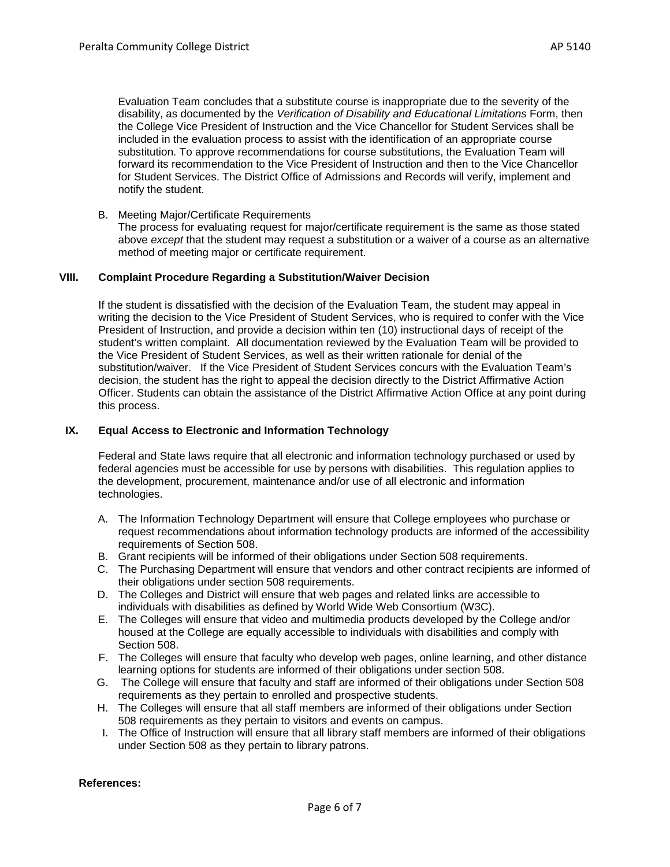Evaluation Team concludes that a substitute course is inappropriate due to the severity of the disability, as documented by the *Verification of Disability and Educational Limitations* Form, then the College Vice President of Instruction and the Vice Chancellor for Student Services shall be included in the evaluation process to assist with the identification of an appropriate course substitution. To approve recommendations for course substitutions, the Evaluation Team will forward its recommendation to the Vice President of Instruction and then to the Vice Chancellor for Student Services. The District Office of Admissions and Records will verify, implement and notify the student.

B. Meeting Major/Certificate Requirements

The process for evaluating request for major/certificate requirement is the same as those stated above *except* that the student may request a substitution or a waiver of a course as an alternative method of meeting major or certificate requirement.

## **VIII. Complaint Procedure Regarding a Substitution/Waiver Decision**

If the student is dissatisfied with the decision of the Evaluation Team, the student may appeal in writing the decision to the Vice President of Student Services, who is required to confer with the Vice President of Instruction, and provide a decision within ten (10) instructional days of receipt of the student's written complaint. All documentation reviewed by the Evaluation Team will be provided to the Vice President of Student Services, as well as their written rationale for denial of the substitution/waiver. If the Vice President of Student Services concurs with the Evaluation Team's decision, the student has the right to appeal the decision directly to the District Affirmative Action Officer. Students can obtain the assistance of the District Affirmative Action Office at any point during this process.

#### **IX. Equal Access to Electronic and Information Technology**

Federal and State laws require that all electronic and information technology purchased or used by federal agencies must be accessible for use by persons with disabilities. This regulation applies to the development, procurement, maintenance and/or use of all electronic and information technologies.

- A. The Information Technology Department will ensure that College employees who purchase or request recommendations about information technology products are informed of the accessibility requirements of Section 508.
- B. Grant recipients will be informed of their obligations under Section 508 requirements.
- C. The Purchasing Department will ensure that vendors and other contract recipients are informed of their obligations under section 508 requirements.
- D. The Colleges and District will ensure that web pages and related links are accessible to individuals with disabilities as defined by World Wide Web Consortium (W3C).
- E. The Colleges will ensure that video and multimedia products developed by the College and/or housed at the College are equally accessible to individuals with disabilities and comply with Section 508.
- F. The Colleges will ensure that faculty who develop web pages, online learning, and other distance learning options for students are informed of their obligations under section 508.
- G. The College will ensure that faculty and staff are informed of their obligations under Section 508 requirements as they pertain to enrolled and prospective students.
- H. The Colleges will ensure that all staff members are informed of their obligations under Section 508 requirements as they pertain to visitors and events on campus.
- I. The Office of Instruction will ensure that all library staff members are informed of their obligations under Section 508 as they pertain to library patrons.

#### **References:**